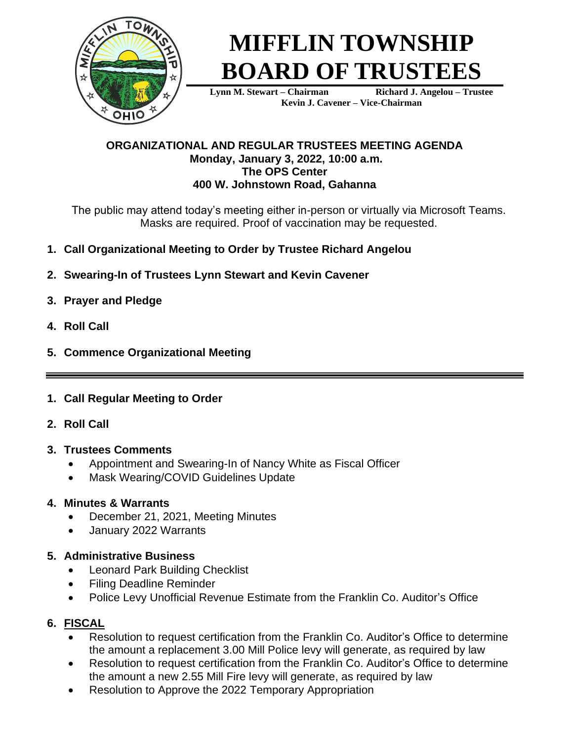

# **MIFFLIN TOWNSHIP BOARD OF TRUSTEES**

**Lynn M. Stewart – Chairman Richard J. Angelou – Trustee Kevin J. Cavener – Vice-Chairman** 

#### **ORGANIZATIONAL AND REGULAR TRUSTEES MEETING AGENDA Monday, January 3, 2022, 10:00 a.m. The OPS Center 400 W. Johnstown Road, Gahanna**

The public may attend today's meeting either in-person or virtually via Microsoft Teams. Masks are required. Proof of vaccination may be requested.

- **1. Call Organizational Meeting to Order by Trustee Richard Angelou**
- **2. Swearing-In of Trustees Lynn Stewart and Kevin Cavener**
- **3. Prayer and Pledge**
- **4. Roll Call**
- **5. Commence Organizational Meeting**
- **1. Call Regular Meeting to Order**
- **2. Roll Call**

## **3. Trustees Comments**

- Appointment and Swearing-In of Nancy White as Fiscal Officer
- Mask Wearing/COVID Guidelines Update

# **4. Minutes & Warrants**

- December 21, 2021, Meeting Minutes
- January 2022 Warrants

# **5. Administrative Business**

- Leonard Park Building Checklist
- Filing Deadline Reminder
- Police Levy Unofficial Revenue Estimate from the Franklin Co. Auditor's Office

# **6. FISCAL**

- Resolution to request certification from the Franklin Co. Auditor's Office to determine the amount a replacement 3.00 Mill Police levy will generate, as required by law
- Resolution to request certification from the Franklin Co. Auditor's Office to determine the amount a new 2.55 Mill Fire levy will generate, as required by law
- Resolution to Approve the 2022 Temporary Appropriation